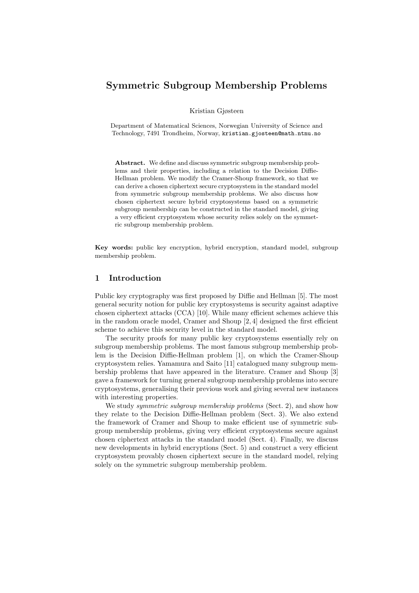# Symmetric Subgroup Membership Problems

Kristian Gjøsteen

Department of Matematical Sciences, Norwegian University of Science and Technology, 7491 Trondheim, Norway, kristian.gjosteen@math.ntnu.no

Abstract. We define and discuss symmetric subgroup membership problems and their properties, including a relation to the Decision Diffie-Hellman problem. We modify the Cramer-Shoup framework, so that we can derive a chosen ciphertext secure cryptosystem in the standard model from symmetric subgroup membership problems. We also discuss how chosen ciphertext secure hybrid cryptosystems based on a symmetric subgroup membership can be constructed in the standard model, giving a very efficient cryptosystem whose security relies solely on the symmetric subgroup membership problem.

Key words: public key encryption, hybrid encryption, standard model, subgroup membership problem.

# 1 Introduction

Public key cryptography was first proposed by Diffie and Hellman [5]. The most general security notion for public key cryptosystems is security against adaptive chosen ciphertext attacks (CCA) [10]. While many efficient schemes achieve this in the random oracle model, Cramer and Shoup [2, 4] designed the first efficient scheme to achieve this security level in the standard model.

The security proofs for many public key cryptosystems essentially rely on subgroup membership problems. The most famous subgroup membership problem is the Decision Diffie-Hellman problem [1], on which the Cramer-Shoup cryptosystem relies. Yamamura and Saito [11] catalogued many subgroup membership problems that have appeared in the literature. Cramer and Shoup [3] gave a framework for turning general subgroup membership problems into secure cryptosystems, generalising their previous work and giving several new instances with interesting properties.

We study *symmetric subgroup membership problems* (Sect. 2), and show how they relate to the Decision Diffie-Hellman problem (Sect. 3). We also extend the framework of Cramer and Shoup to make efficient use of symmetric subgroup membership problems, giving very efficient cryptosystems secure against chosen ciphertext attacks in the standard model (Sect. 4). Finally, we discuss new developments in hybrid encryptions (Sect. 5) and construct a very efficient cryptosystem provably chosen ciphertext secure in the standard model, relying solely on the symmetric subgroup membership problem.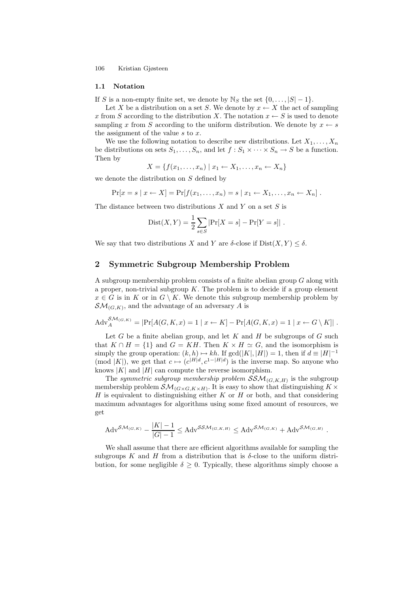#### 1.1 Notation

If S is a non-empty finite set, we denote by  $\mathbb{N}_S$  the set  $\{0, \ldots, |S| - 1\}.$ 

Let X be a distribution on a set S. We denote by  $x \leftarrow X$  the act of sampling x from S according to the distribution X. The notation  $x \leftarrow S$  is used to denote sampling x from S according to the uniform distribution. We denote by  $x \leftarrow s$ the assignment of the value  $s$  to  $x$ .

We use the following notation to describe new distributions. Let  $X_1, \ldots, X_n$ be distributions on sets  $S_1, \ldots, S_n$ , and let  $f : S_1 \times \cdots \times S_n \to S$  be a function. Then by

 $X = \{f(x_1, \ldots, x_n) \mid x_1 \leftarrow X_1, \ldots, x_n \leftarrow X_n\}$ 

we denote the distribution on  $S$  defined by

$$
Pr[x = s | x \leftarrow X] = Pr[f(x_1, ..., x_n) = s | x_1 \leftarrow X_1, ..., x_n \leftarrow X_n].
$$

The distance between two distributions  $X$  and  $Y$  on a set  $S$  is

Dist(X, Y) = 
$$
\frac{1}{2} \sum_{s \in S} |Pr[X = s] - Pr[Y = s]|
$$
.

We say that two distributions X and Y are  $\delta$ -close if  $Dist(X, Y) \leq \delta$ .

## 2 Symmetric Subgroup Membership Problem

A subgroup membership problem consists of a finite abelian group  $G$  along with a proper, non-trivial subgroup  $K$ . The problem is to decide if a group element  $x \in G$  is in K or in  $G \setminus K$ . We denote this subgroup membership problem by  $\mathcal{SM}_{(G,K)}$ , and the advantage of an adversary A is

$$
Adv_A^{\mathcal{SM}_{(G,K)}} = |Pr[A(G, K, x) = 1 | x \leftarrow K] - Pr[A(G, K, x) = 1 | x \leftarrow G \setminus K]|.
$$

Let G be a finite abelian group, and let K and H be subgroups of G such that  $K \cap H = \{1\}$  and  $G = KH$ . Then  $K \times H \simeq G$ , and the isomorphism is simply the group operation:  $(k, h) \mapsto kh$ . If  $gcd(|K|, |H|) = 1$ , then if  $d \equiv |H|^{-1}$ (mod |K|), we get that  $c \mapsto (c^{|H|d}, c^{1-|H|d})$  is the inverse map. So anyone who knows  $|K|$  and  $|H|$  can compute the reverse isomorphism.

The symmetric subgroup membership problem  $\mathcal{SSM}_{(G,K,H)}$  is the subgroup membership problem  $\mathcal{SM}_{(G\times G, K\times H)}$ . It is easy to show that distinguishing  $K\times$  $H$  is equivalent to distinguishing either  $K$  or  $H$  or both, and that considering maximum advantages for algorithms using some fixed amount of resources, we get

$$
\mathrm{Adv}^{\mathcal{SM}_{(G,K)}} - \frac{|K|-1}{|G|-1} \leq \mathrm{Adv}^{\mathcal{SSM}_{(G,K,H)}} \leq \mathrm{Adv}^{\mathcal{SM}_{(G,K)}} + \mathrm{Adv}^{\mathcal{SM}_{(G,H)}}.
$$

We shall assume that there are efficient algorithms available for sampling the subgroups K and H from a distribution that is  $\delta$ -close to the uniform distribution, for some negligible  $\delta \geq 0$ . Typically, these algorithms simply choose a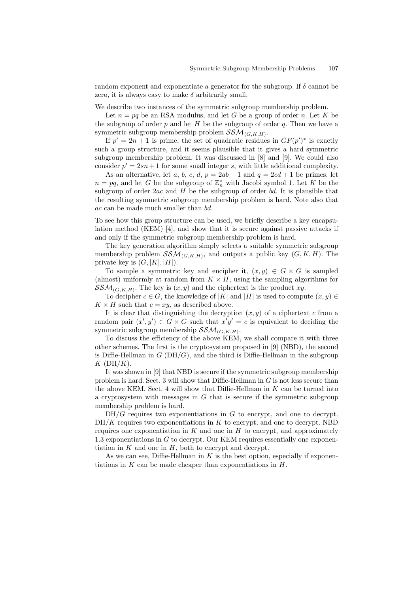random exponent and exponentiate a generator for the subgroup. If  $\delta$  cannot be zero, it is always easy to make  $\delta$  arbitrarily small.

We describe two instances of the symmetric subgroup membership problem.

Let  $n = pq$  be an RSA modulus, and let G be a group of order n. Let K be the subgroup of order p and let H be the subgroup of order q. Then we have a symmetric subgroup membership problem  $\mathcal{SSM}_{(G,K,H)}$ .

If  $p' = 2n + 1$  is prime, the set of quadratic residues in  $GF(p')^*$  is exactly such a group structure, and it seems plausible that it gives a hard symmetric subgroup membership problem. It was discussed in [8] and [9]. We could also consider  $p' = 2sn + 1$  for some small integer s, with little additional complexity.

As an alternative, let a, b, c, d,  $p = 2ab + 1$  and  $q = 2cd + 1$  be primes, let  $n = pq$ , and let G be the subgroup of  $\mathbb{Z}_n^*$  with Jacobi symbol 1. Let K be the subgroup of order  $2ac$  and  $H$  be the subgroup of order bd. It is plausible that the resulting symmetric subgroup membership problem is hard. Note also that ac can be made much smaller than bd.

To see how this group structure can be used, we briefly describe a key encapsulation method (KEM) [4], and show that it is secure against passive attacks if and only if the symmetric subgroup membership problem is hard.

The key generation algorithm simply selects a suitable symmetric subgroup membership problem  $\mathcal{SSM}_{(G,K,H)}$ , and outputs a public key  $(G, K, H)$ . The private key is  $(G, |K|, |H|)$ .

To sample a symmetric key and encipher it,  $(x, y) \in G \times G$  is sampled (almost) uniformly at random from  $K \times H$ , using the sampling algorithms for  $\mathcal{SSM}_{(G,K,H)}$ . The key is  $(x, y)$  and the ciphertext is the product xy.

To decipher  $c \in G$ , the knowledge of |K| and |H| is used to compute  $(x, y) \in$  $K \times H$  such that  $c = xy$ , as described above.

It is clear that distinguishing the decryption  $(x, y)$  of a ciphertext c from a random pair  $(x', y') \in G \times G$  such that  $x'y' = c$  is equivalent to deciding the symmetric subgroup membership  $\mathcal{SSM}_{(G,K,H)}$ .

To discuss the efficiency of the above KEM, we shall compare it with three other schemes. The first is the cryptosystem proposed in [9] (NBD), the second is Diffie-Hellman in  $G$  (DH/G), and the third is Diffie-Hellman in the subgroup  $K$  (DH/ $K$ ).

It was shown in [9] that NBD is secure if the symmetric subgroup membership problem is hard. Sect. 3 will show that Diffie-Hellman in  $G$  is not less secure than the above KEM. Sect. 4 will show that Diffie-Hellman in  $K$  can be turned into a cryptosystem with messages in  $G$  that is secure if the symmetric subgroup membership problem is hard.

 $DH/G$  requires two exponentiations in G to encrypt, and one to decrypt.  $DH/K$  requires two exponentiations in K to encrypt, and one to decrypt. NBD requires one exponentiation in  $K$  and one in  $H$  to encrypt, and approximately 1.3 exponentiations in G to decrypt. Our KEM requires essentially one exponentiation in  $K$  and one in  $H$ , both to encrypt and decrypt.

As we can see, Diffie-Hellman in  $K$  is the best option, especially if exponentiations in  $K$  can be made cheaper than exponentiations in  $H$ .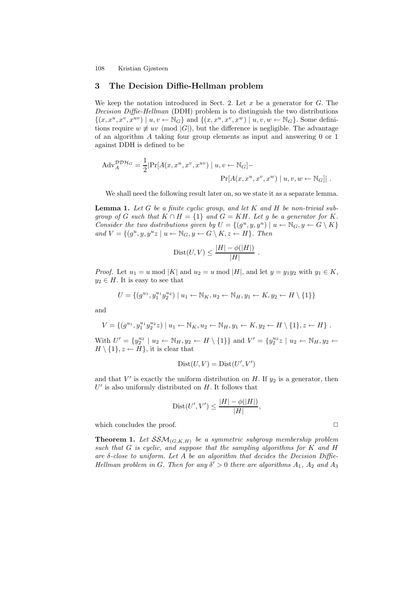# 3 The Decision Diffie-Hellman problem

We keep the notation introduced in Sect. 2. Let  $x$  be a generator for  $G$ . The Decision Diffie-Hellman (DDH) problem is to distinguish the two distributions  $\{(x, x^u, x^v, x^{uv}) \mid u, v \leftarrow \mathbb{N}_G\}$  and  $\{(x, x^u, x^v, x^w) \mid u, v, w \leftarrow \mathbb{N}_G\}$ . Some definitions require  $w \neq uv \pmod{|G|}$ , but the difference is negligible. The advantage of an algorithm A taking four group elements as input and answering 0 or 1 against DDH is defined to be

$$
Adv_A^{\mathcal{D}\mathcal{D}\mathcal{H}_G} = \frac{1}{2} \left| \Pr[A(x, x^u, x^v, x^{uv}) \mid u, v \leftarrow \mathbb{N}_G \right] - \right.
$$
  

$$
Pr[A(x, x^u, x^v, x^w) \mid u, v, w \leftarrow \mathbb{N}_G \right] \right|.
$$

We shall need the following result later on, so we state it as a separate lemma.

**Lemma 1.** Let  $G$  be a finite cyclic group, and let  $K$  and  $H$  be non-trivial subgroup of G such that  $K \cap H = \{1\}$  and  $G = KH$ . Let g be a generator for K. Consider the two distributions given by  $U = \{(g^u, y, y^u) \mid u \leftarrow \mathbb{N}_G, y \leftarrow G \setminus K\}$ and  $V = \{(g^u, y, y^u z \mid u \leftarrow \mathbb{N}_G, y \leftarrow G \setminus K, z \leftarrow H\}$ . Then

$$
\text{Dist}(U, V) \le \frac{|H| - \phi(|H|)}{|H|}
$$

.

,

*Proof.* Let  $u_1 = u \mod |K|$  and  $u_2 = u \mod |H|$ , and let  $y = y_1y_2$  with  $y_1 \in K$ ,  $y_2 \in H$ . It is easy to see that

$$
U = \{(g^{u_1}, y_1^{u_1} y_2^{u_2}) \mid u_1 \leftarrow \mathbb{N}_K, u_2 \leftarrow \mathbb{N}_H, y_1 \leftarrow K, y_2 \leftarrow H \setminus \{1\}\}
$$

and

$$
V = \{(g^{u_1}, y_1^{u_1} y_2^{u_2} z) \mid u_1 \leftarrow \mathbb{N}_K, u_2 \leftarrow \mathbb{N}_H, y_1 \leftarrow K, y_2 \leftarrow H \setminus \{1\}, z \leftarrow H\}.
$$

With  $U' = \{y_2^{u_2} \mid u_2 \leftarrow \mathbb{N}_H, y_2 \leftarrow H \setminus \{1\}\}\$ and  $V' = \{y_2^{u_2}z \mid u_2 \leftarrow \mathbb{N}_H, y_2 \leftarrow \{1\}\}\$  $H \setminus \{1\}, z \leftarrow H\}$ , it is clear that

$$
Dist(U, V) = Dist(U', V')
$$

and that  $V'$  is exactly the uniform distribution on H. If  $y_2$  is a generator, then  $U'$  is also uniformly distributed on  $H$ . It follows that

$$
\text{Dist}(U',V') \le \frac{|H| - \phi(|H|)}{|H|}
$$

which concludes the proof.  $\Box$ 

**Theorem 1.** Let  $SSM_{(G,K,H)}$  be a symmetric subgroup membership problem such that G is cyclic, and suppose that the sampling algorithms for K and H are  $\delta$ -close to uniform. Let A be an algorithm that decides the Decision Diffie-Hellman problem in G. Then for any  $\delta' > 0$  there are algorithms  $A_1$ ,  $A_2$  and  $A_3$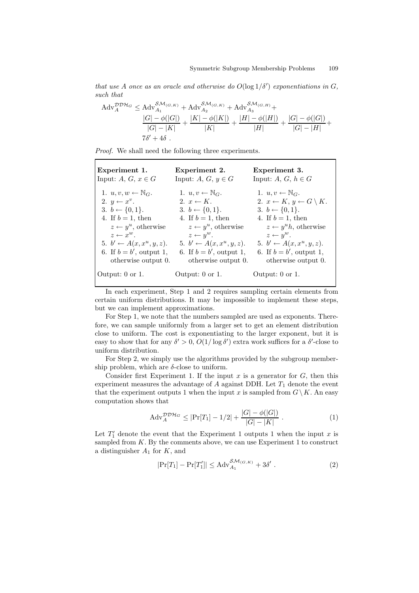that use A once as an oracle and otherwise do  $O(\log 1/\delta')$  exponentiations in G, such that

$$
\begin{aligned}\n\text{Adv}_{A}^{\mathcal{D}\mathcal{D}\mathcal{H}_{G}} &\leq \text{Adv}_{A_{1}}^{S\mathcal{M}_{(G,K)}} + \text{Adv}_{A_{2}}^{S\mathcal{M}_{(G,K)}} + \text{Adv}_{A_{3}}^{S\mathcal{M}_{(G,H)}} + \\
&\frac{|G| - \phi(|G|)}{|G| - |K|} + \frac{|K| - \phi(|K|)}{|K|} + \frac{|H| - \phi(|H|)}{|H|} + \frac{|G| - \phi(|G|)}{|G| - |H|} + \\
&\frac{7\delta' + 4\delta}{\text{Var}}.\n\end{aligned}
$$

Proof. We shall need the following three experiments.

Experiment 1. Input: A,  $G, x \in G$ 1.  $u, v, w \leftarrow \mathbb{N}_G$ . 2.  $y \leftarrow x^v$ . 3.  $b \leftarrow \{0, 1\}.$ 4. If  $b = 1$ , then  $z \leftarrow y^u$ , otherwise  $z \leftarrow x^w$ . 5.  $b' \leftarrow A(x, x^u, y, z)$ . 6. If  $b = b'$ , output 1, otherwise output 0. Output: 0 or 1. Experiment 2. Input: A,  $G, y \in G$ 1.  $u, v \leftarrow \mathbb{N}_G$ . 2.  $x \leftarrow K$ . 3.  $b \leftarrow \{0,1\}.$ 4. If  $b = 1$ , then  $z \leftarrow y^u$ , otherwise  $z \leftarrow y^w$ . 5.  $b' \leftarrow A(x, x^u, y, z)$ . 6. If  $b = b'$ , output 1, otherwise output 0. Output: 0 or 1. Experiment 3. Input: A,  $G, h \in G$ 1.  $u, v \leftarrow \mathbb{N}_G$ . 2.  $x \leftarrow K$ ,  $y \leftarrow G \setminus K$ . 3.  $b \leftarrow \{0,1\}.$ 4. If  $b = 1$ , then  $z \leftarrow y^u h$ , otherwise  $z \leftarrow y^w$ . 5.  $b' \leftarrow A(x, x^u, y, z)$ . 6. If  $b = b'$ , output 1, otherwise output 0. Output: 0 or 1.

In each experiment, Step 1 and 2 requires sampling certain elements from certain uniform distributions. It may be impossible to implement these steps, but we can implement approximations.

For Step 1, we note that the numbers sampled are used as exponents. Therefore, we can sample uniformly from a larger set to get an element distribution close to uniform. The cost is exponentiating to the larger exponent, but it is easy to show that for any  $\delta' > 0$ ,  $O(1/\log \delta')$  extra work suffices for a  $\delta'$ -close to uniform distribution.

For Step 2, we simply use the algorithms provided by the subgroup membership problem, which are  $\delta$ -close to uniform.

Consider first Experiment 1. If the input  $x$  is a generator for  $G$ , then this experiment measures the advantage of  $A$  against DDH. Let  $T_1$  denote the event that the experiment outputs 1 when the input x is sampled from  $G\setminus K$ . An easy computation shows that

$$
Adv_A^{\mathcal{DDH}_G} \leq |\Pr[T_1] - 1/2| + \frac{|G| - \phi(|G|)}{|G| - |K|} \ . \tag{1}
$$

Let  $T_1'$  denote the event that the Experiment 1 outputs 1 when the input x is sampled from  $K$ . By the comments above, we can use Experiment 1 to construct a distinguisher  $A_1$  for  $K$ , and

$$
|\Pr[T_1] - \Pr[T'_1]| \leq \text{Adv}_{A_1}^{\mathcal{SM}_{(G,K)}} + 3\delta' \ .
$$
 (2)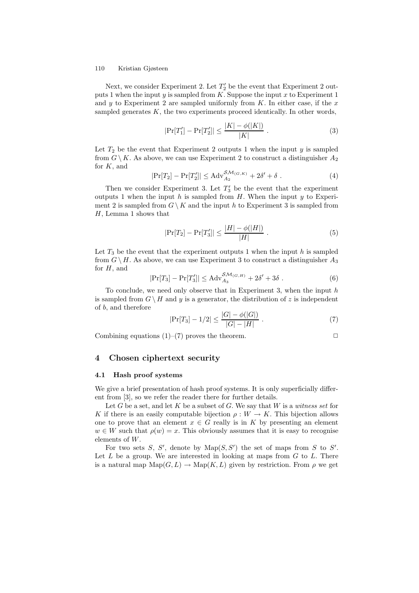Next, we consider Experiment 2. Let  $T_2'$  be the event that Experiment 2 outputs 1 when the input  $y$  is sampled from  $K$ . Suppose the input  $x$  to Experiment 1 and  $y$  to Experiment 2 are sampled uniformly from  $K$ . In either case, if the  $x$ sampled generates  $K$ , the two experiments proceed identically. In other words,

$$
|\Pr[T_1'] - \Pr[T_2']| \le \frac{|K| - \phi(|K|)}{|K|} \ . \tag{3}
$$

Let  $T_2$  be the event that Experiment 2 outputs 1 when the input y is sampled from  $G \setminus K$ . As above, we can use Experiment 2 to construct a distinguisher  $A_2$ for  $K$ , and

$$
|\Pr[T_2] - \Pr[T_2']| \le \text{Adv}_{A_2}^{\mathcal{SM}_{(G,K)}} + 2\delta' + \delta.
$$
 (4)

Then we consider Experiment 3. Let  $T_3$  be the event that the experiment outputs 1 when the input h is sampled from  $H$ . When the input y to Experiment 2 is sampled from  $G \setminus K$  and the input h to Experiment 3 is sampled from H, Lemma 1 shows that

$$
|\Pr[T_2] - \Pr[T'_3]| \le \frac{|H| - \phi(|H|)}{|H|} \ . \tag{5}
$$

Let  $T_3$  be the event that the experiment outputs 1 when the input h is sampled from  $G \setminus H$ . As above, we can use Experiment 3 to construct a distinguisher  $A_3$ for  $H$ , and

$$
|\Pr[T_3] - \Pr[T'_3]| \le \text{Adv}_{A_3}^{\mathcal{SM}_{(G,H)}} + 2\delta' + 3\delta.
$$
 (6)

To conclude, we need only observe that in Experiment 3, when the input  $h$ is sampled from  $G \setminus H$  and y is a generator, the distribution of z is independent of b, and therefore

$$
|\Pr[T_3] - 1/2| \le \frac{|G| - \phi(|G|)}{|G| - |H|} \ . \tag{7}
$$

Combining equations  $(1)$ – $(7)$  proves the theorem.

# 4 Chosen ciphertext security

### 4.1 Hash proof systems

We give a brief presentation of hash proof systems. It is only superficially different from [3], so we refer the reader there for further details.

Let  $G$  be a set, and let  $K$  be a subset of  $G$ . We say that  $W$  is a witness set for K if there is an easily computable bijection  $\rho: W \to K$ . This bijection allows one to prove that an element  $x \in G$  really is in K by presenting an element  $w \in W$  such that  $\rho(w) = x$ . This obviously assumes that it is easy to recognise elements of W.

For two sets S, S', denote by  $\text{Map}(S, S')$  the set of maps from S to S'. Let  $L$  be a group. We are interested in looking at maps from  $G$  to  $L$ . There is a natural map  $\text{Map}(G, L) \to \text{Map}(K, L)$  given by restriction. From  $\rho$  we get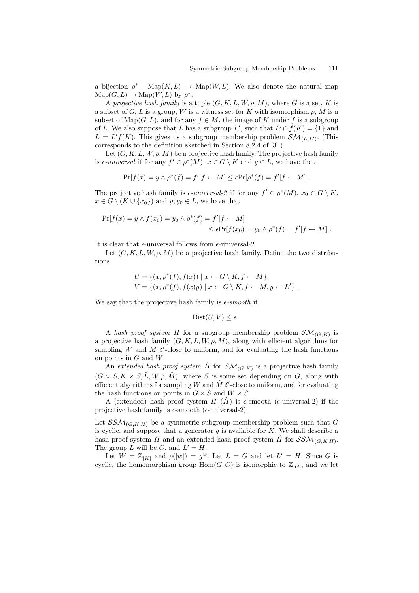a bijection  $\rho^*$ : Map $(K, L) \to \text{Map}(W, L)$ . We also denote the natural map  $\text{Map}(G, L) \to \text{Map}(W, L)$  by  $\rho^*$ .

A projective hash family is a tuple  $(G, K, L, W, \rho, M)$ , where G is a set, K is a subset of G, L is a group, W is a witness set for K with isomorphism  $\rho$ , M is a subset of Map( $G, L$ ), and for any  $f \in M$ , the image of K under f is a subgroup of L. We also suppose that L has a subgroup L', such that  $L' \cap f(K) = \{1\}$  and  $L = L'f(K)$ . This gives us a subgroup membership problem  $\mathcal{SM}_{(L,L')}$ . (This corresponds to the definition sketched in Section 8.2.4 of [3].)

Let  $(G, K, L, W, \rho, M)$  be a projective hash family. The projective hash family is  $\epsilon$ -universal if for any  $f' \in \rho^*(M)$ ,  $x \in G \setminus K$  and  $y \in L$ , we have that

$$
\Pr[f(x) = y \wedge \rho^*(f) = f'|f \leftarrow M] \le \epsilon \Pr[\rho^*(f) = f'|f \leftarrow M].
$$

The projective hash family is  $\epsilon$ -universal-2 if for any  $f' \in \rho^*(M)$ ,  $x_0 \in G \setminus K$ ,  $x \in G \setminus (K \cup \{x_0\})$  and  $y, y_0 \in L$ , we have that

$$
\Pr[f(x) = y \land f(x_0) = y_0 \land \rho^*(f) = f'|f \leftarrow M] \le \epsilon \Pr[f(x_0) = y_0 \land \rho^*(f) = f'|f \leftarrow M].
$$

It is clear that  $\epsilon$ -universal follows from  $\epsilon$ -universal-2.

Let  $(G, K, L, W, \rho, M)$  be a projective hash family. Define the two distributions

$$
U = \{(x, \rho^*(f), f(x)) \mid x \leftarrow G \setminus K, f \leftarrow M\},
$$
  
\n
$$
V = \{(x, \rho^*(f), f(x)y) \mid x \leftarrow G \setminus K, f \leftarrow M, y \leftarrow L'\}.
$$

We say that the projective hash family is  $\epsilon$ -smooth if

$$
Dist(U, V) \leq \epsilon.
$$

A hash proof system  $\Pi$  for a subgroup membership problem  $\mathcal{SM}_{(G,K)}$  is a projective hash family  $(G, K, L, W, \rho, M)$ , along with efficient algorithms for sampling W and M  $\delta'$ -close to uniform, and for evaluating the hash functions on points in  $G$  and  $W$ .

An extended hash proof system  $\hat{\Pi}$  for  $\mathcal{SM}_{(G,K)}$  is a projective hash family  $(G \times S, K \times S, \hat{L}, W, \hat{\rho}, \hat{M})$ , where S is some set depending on G, along with efficient algorithms for sampling W and  $\hat{M}$   $\delta'$ -close to uniform, and for evaluating the hash functions on points in  $G \times S$  and  $W \times S$ .

A (extended) hash proof system  $\Pi(\hat{\Pi})$  is  $\epsilon$ -smooth ( $\epsilon$ -universal-2) if the projective hash family is  $\epsilon$ -smooth ( $\epsilon$ -universal-2).

Let  $SSM_{(G,K,H)}$  be a symmetric subgroup membership problem such that G is cyclic, and suppose that a generator  $g$  is available for  $K$ . We shall describe a hash proof system  $\Pi$  and an extended hash proof system  $\hat{\Pi}$  for  $\mathcal{SSM}_{(G,K,H)}$ . The group L will be  $G$ , and  $L' = H$ .

Let  $W = \mathbb{Z}_{|K|}$  and  $\rho([w]) = g^w$ . Let  $L = G$  and let  $L' = H$ . Since G is cyclic, the homomorphism group  $\text{Hom}(G, G)$  is isomorphic to  $\mathbb{Z}_{|G|}$ , and we let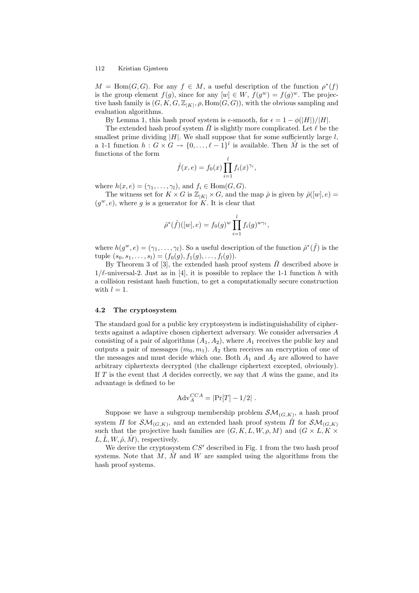$M = \text{Hom}(G, G)$ . For any  $f \in M$ , a useful description of the function  $\rho^*(f)$ is the group element  $f(g)$ , since for any  $[w] \in W$ ,  $f(g^w) = f(g)^w$ . The projective hash family is  $(G, K, G, \mathbb{Z}_{|K|}, \rho, \text{Hom}(G, G))$ , with the obvious sampling and evaluation algorithms.

By Lemma 1, this hash proof system is  $\epsilon$ -smooth, for  $\epsilon = 1 - \phi(|H|)/|H|$ .

The extended hash proof system  $\Pi$  is slightly more complicated. Let  $\ell$  be the smallest prime dividing  $|H|$ . We shall suppose that for some sufficiently large  $l$ , a 1-1 function  $h: G \times G \to \{0, \ldots, \ell - 1\}^l$  is available. Then  $\hat{M}$  is the set of functions of the form

$$
\hat{f}(x, e) = f_0(x) \prod_{i=1}^{l} f_i(x)^{\gamma_i},
$$

where  $h(x, e) = (\gamma_1, \ldots, \gamma_l)$ , and  $f_i \in \text{Hom}(G, G)$ .

The witness set for  $K \times G$  is  $\mathbb{Z}_{|K|} \times G$ , and the map  $\hat{\rho}$  is given by  $\hat{\rho}([w], e) =$  $(g^w, e)$ , where g is a generator for K. It is clear that

$$
\hat{\rho}^*(\hat{f})([w], e) = f_0(g)^w \prod_{i=1}^l f_i(g)^{w\gamma_i},
$$

where  $h(g^w, e) = (\gamma_1, \dots, \gamma_l)$ . So a useful description of the function  $\hat{\rho}^*(\hat{f})$  is the tuple  $(s_0, s_1, \ldots, s_l) = (f_0(g), f_1(g), \ldots, f_l(g)).$ 

By Theorem 3 of [3], the extended hash proof system  $\hat{\Pi}$  described above is  $1/\ell$ -universal-2. Just as in [4], it is possible to replace the 1-1 function h with a collision resistant hash function, to get a computationally secure construction with  $l = 1$ .

#### 4.2 The cryptosystem

The standard goal for a public key cryptosystem is indistinguishability of ciphertexts against a adaptive chosen ciphertext adversary. We consider adversaries A consisting of a pair of algorithms  $(A_1, A_2)$ , where  $A_1$  receives the public key and outputs a pair of messages  $(m_0, m_1)$ .  $A_2$  then receives an encryption of one of the messages and must decide which one. Both  $A_1$  and  $A_2$  are allowed to have arbitrary ciphertexts decrypted (the challenge ciphertext excepted, obviously). If T is the event that A decides correctly, we say that A wins the game, and its advantage is defined to be

$$
Adv_A^{CCA} = |Pr[T] - 1/2|.
$$

Suppose we have a subgroup membership problem  $\mathcal{SM}_{(G,K)}$ , a hash proof system  $\Pi$  for  $\mathcal{SM}_{(G,K)}$ , and an extended hash proof system  $\hat{\Pi}$  for  $\mathcal{SM}_{(G,K)}$ such that the projective hash families are  $(G, K, L, W, \rho, M)$  and  $(G \times L, K \times$  $L, L, W, \hat{\rho}, M$ , respectively.

We derive the cryptosystem  $CS'$  described in Fig. 1 from the two hash proof systems. Note that  $M$ ,  $\tilde{M}$  and  $W$  are sampled using the algorithms from the hash proof systems.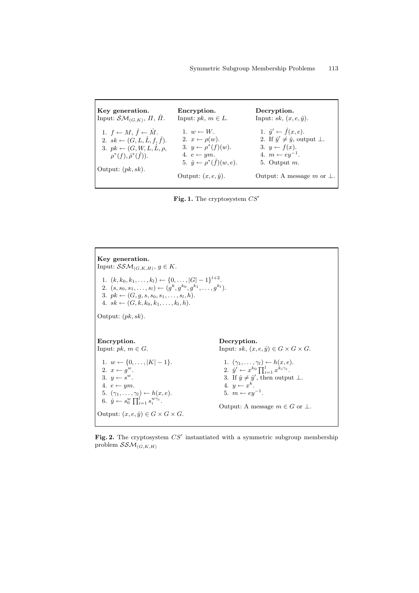| Key generation.                                                                                                                                                                                                        | Encryption.                                                                                                                                                                                          | Decryption.                                                                                                                                                                                                    |
|------------------------------------------------------------------------------------------------------------------------------------------------------------------------------------------------------------------------|------------------------------------------------------------------------------------------------------------------------------------------------------------------------------------------------------|----------------------------------------------------------------------------------------------------------------------------------------------------------------------------------------------------------------|
| Input: $\mathcal{SM}_{(G,K)}$ , $\Pi$ , $\Pi$ .                                                                                                                                                                        | Input: $pk, m \in L$ .                                                                                                                                                                               | Input: sk, $(x, e, \hat{y})$ .                                                                                                                                                                                 |
| 1. $f \leftarrow M$ , $\hat{f} \leftarrow \hat{M}$ .<br>2. $sk \leftarrow (G, L, \hat{L}, f, \hat{f}).$<br>3. $pk \leftarrow (G, W, L, \hat{L}, \rho,$<br>$\rho^*(f), \hat{\rho}^*(\hat{f})).$<br>Output: $(pk, sk)$ . | 1. $w \leftarrow W$ .<br>2. $x \leftarrow \rho(w)$ .<br>3. $y \leftarrow \rho^*(f)(w)$ .<br>4. $e \leftarrow ym$ .<br>5. $\hat{y} \leftarrow \rho^*(\hat{f})(w, e)$ .<br>Output: $(x, e, \hat{y})$ . | 1. $\hat{y}' \leftarrow \hat{f}(x, e)$ .<br>2. If $\hat{y}' \neq \hat{y}$ , output $\perp$ .<br>3. $y \leftarrow f(x)$ .<br>4. $m \leftarrow ey^{-1}$ .<br>5. Output $m$ .<br>Output: A message m or $\perp$ . |



Key generation. Input:  $\mathcal{SSM}_{(G,K,H)}$ ,  $g \in K$ . 1.  $(k, k_0, k_1, \ldots, k_l) \leftarrow \{0, \ldots, |G| - 1\}^{l+2}.$ 2.  $(s, s_0, s_1, \ldots, s_l) \leftarrow (g^k, g^{k_0}, g^{k_1}, \ldots, g^{k_l}).$ 3.  $pk \leftarrow (G, g, s, s_0, s_1, \ldots, s_l, h).$ 4.  $sk \leftarrow (G, k, k_0, k_1, \ldots, k_l, h).$ Output: (pk, sk). Encryption. Input:  $pk, m \in G$ . 1.  $w \leftarrow \{0, \ldots, |K| - 1\}.$ 2.  $x \leftarrow g^w$ . 3.  $y \leftarrow s^w$ . 4.  $e \leftarrow ym$ . 5.  $(\gamma_1, \ldots, \gamma_l) \leftarrow h(x, e)$ . 6.  $\hat{y} \leftarrow s_0^w \prod_{i=1}^l s_i^{w\gamma_i}$ . Output:  $(x, e, \hat{y}) \in G \times G \times G$ . Decryption. Input: sk,  $(x, e, \hat{y}) \in G \times G \times G$ . 1.  $(\gamma_1, \ldots, \gamma_l) \leftarrow h(x, e)$ . 2.  $\hat{y}' \leftarrow x^{k_0} \prod_{i=1}^l x^{k_i \gamma_i}$ . 3. If  $\hat{y} \neq \hat{y}'$ , then output  $\perp$ . 4.  $y \leftarrow x^k$ . 5.  $m \leftarrow ey^{-1}$ . Output: A message  $m \in G$  or  $\perp$ .

Fig. 2. The cryptosystem  $CS'$  instantiated with a symmetric subgroup membership problem  $SSM_{(G,K,H)}$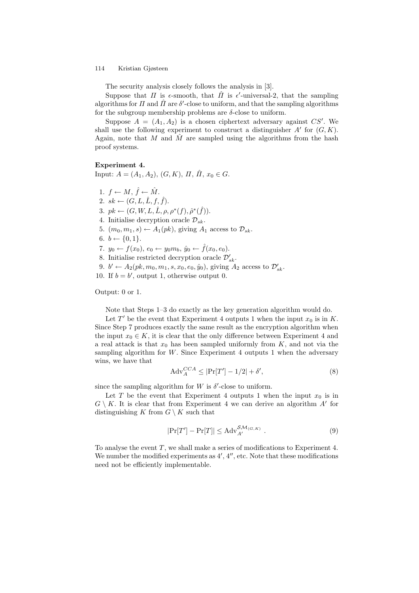The security analysis closely follows the analysis in [3].

Suppose that  $\Pi$  is  $\epsilon$ -smooth, that  $\hat{\Pi}$  is  $\epsilon'$ -universal-2, that the sampling algorithms for  $\Pi$  and  $\hat{\Pi}$  are  $\delta'$ -close to uniform, and that the sampling algorithms for the subgroup membership problems are  $\delta$ -close to uniform.

Suppose  $A = (A_1, A_2)$  is a chosen ciphertext adversary against CS'. We shall use the following experiment to construct a distinguisher  $A'$  for  $(G, K)$ . Again, note that M and  $\hat{M}$  are sampled using the algorithms from the hash proof systems.

# Experiment 4.

Input:  $A = (A_1, A_2), (G, K), \Pi, \hat{\Pi}, x_0 \in G.$ 

1.  $f \leftarrow M, \hat{f} \leftarrow \hat{M}$ . 2.  $sk \leftarrow (G, L, \hat{L}, f, \hat{f}).$ 3.  $pk \leftarrow (G, W, L, \hat{L}, \rho, \rho^*(f), \hat{\rho}^*(\hat{f})).$ 4. Initialise decryption oracle  $\mathcal{D}_{sk}$ . 5.  $(m_0, m_1, s) \leftarrow A_1(pk)$ , giving  $A_1$  access to  $\mathcal{D}_{sk}$ . 6.  $b \leftarrow \{0, 1\}.$ 7.  $y_0 \leftarrow f(x_0), e_0 \leftarrow y_0 m_b, \hat{y}_0 \leftarrow \hat{f}(x_0, e_0).$ 8. Initialise restricted decryption oracle  $\mathcal{D}'_{sk}$ . 9.  $b' \leftarrow A_2(pk, m_0, m_1, s, x_0, e_0, \hat{y}_0)$ , giving  $A_2$  access to  $\mathcal{D}'_{sk}$ . 10. If  $b = b'$ , output 1, otherwise output 0.

Output: 0 or 1.

Note that Steps 1–3 do exactly as the key generation algorithm would do.

Let T' be the event that Experiment 4 outputs 1 when the input  $x_0$  is in K. Since Step 7 produces exactly the same result as the encryption algorithm when the input  $x_0 \in K$ , it is clear that the only difference between Experiment 4 and a real attack is that  $x_0$  has been sampled uniformly from K, and not via the sampling algorithm for  $W$ . Since Experiment 4 outputs 1 when the adversary wins, we have that

$$
\mathrm{Adv}_{A}^{CCA} \le |\mathrm{Pr}[T'] - 1/2| + \delta',\tag{8}
$$

since the sampling algorithm for  $W$  is  $\delta'$ -close to uniform.

Let T be the event that Experiment 4 outputs 1 when the input  $x_0$  is in  $G \setminus K$ . It is clear that from Experiment 4 we can derive an algorithm  $A'$  for distinguishing K from  $G \setminus K$  such that

$$
|\Pr[T'] - \Pr[T]| \leq \text{Adv}_{A'}^{\mathcal{SM}_{(G,K)}} . \tag{9}
$$

To analyse the event  $T$ , we shall make a series of modifications to Experiment 4. We number the modified experiments as  $4', 4''$ , etc. Note that these modifications need not be efficiently implementable.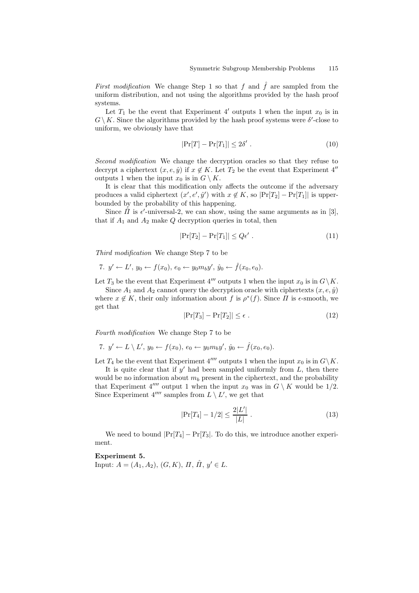First modification We change Step 1 so that f and  $\hat{f}$  are sampled from the uniform distribution, and not using the algorithms provided by the hash proof systems.

Let  $T_1$  be the event that Experiment 4' outputs 1 when the input  $x_0$  is in  $G \setminus K$ . Since the algorithms provided by the hash proof systems were  $\delta'$ -close to uniform, we obviously have that

$$
|\Pr[T] - \Pr[T_1]| \le 2\delta' \ . \tag{10}
$$

Second modification We change the decryption oracles so that they refuse to decrypt a ciphertext  $(x, e, \hat{y})$  if  $x \notin K$ . Let  $T_2$  be the event that Experiment 4'' outputs 1 when the input  $x_0$  is in  $G \setminus K$ .

It is clear that this modification only affects the outcome if the adversary produces a valid ciphertext  $(x', e', \hat{y}')$  with  $x \notin K$ , so  $|\Pr[T_2] - \Pr[T_1]|$  is upperbounded by the probability of this happening.

Since  $\hat{\Pi}$  is  $\epsilon'$ -universal-2, we can show, using the same arguments as in [3], that if  $A_1$  and  $A_2$  make Q decryption queries in total, then

$$
|\Pr[T_2] - \Pr[T_1]| \le Q\epsilon' \tag{11}
$$

Third modification We change Step 7 to be

7. 
$$
y' \leftarrow L'
$$
,  $y_0 \leftarrow f(x_0)$ ,  $e_0 \leftarrow y_0 m_b y'$ ,  $\hat{y}_0 \leftarrow \hat{f}(x_0, e_0)$ .

Let  $T_3$  be the event that Experiment 4''' outputs 1 when the input  $x_0$  is in  $G\backslash K$ .

Since  $A_1$  and  $A_2$  cannot query the decryption oracle with ciphertexts  $(x, e, \hat{y})$ where  $x \notin K$ , their only information about f is  $\rho^*(f)$ . Since  $\Pi$  is  $\epsilon$ -smooth, we get that

$$
|\Pr[T_3] - \Pr[T_2]| \le \epsilon \tag{12}
$$

Fourth modification We change Step 7 to be

7. 
$$
y' \leftarrow L \setminus L'
$$
,  $y_0 \leftarrow f(x_0)$ ,  $e_0 \leftarrow y_0 m_b y'$ ,  $\hat{y}_0 \leftarrow \hat{f}(x_0, e_0)$ .

Let  $T_4$  be the event that Experiment 4'''' outputs 1 when the input  $x_0$  is in  $G\backslash K$ .

It is quite clear that if  $y'$  had been sampled uniformly from  $L$ , then there would be no information about  $m_b$  present in the ciphertext, and the probability that Experiment 4"" output 1 when the input  $x_0$  was in  $G \setminus K$  would be  $1/2$ . Since Experiment 4"" samples from  $L \setminus L'$ , we get that

$$
|\Pr[T_4] - 1/2| \le \frac{2|L'|}{|L|} \,. \tag{13}
$$

We need to bound  $|\Pr[T_4] - \Pr[T_3]$ . To do this, we introduce another experiment.

#### Experiment 5.

Input:  $A = (A_1, A_2), (G, K), \Pi, \hat{\Pi}, y' \in L.$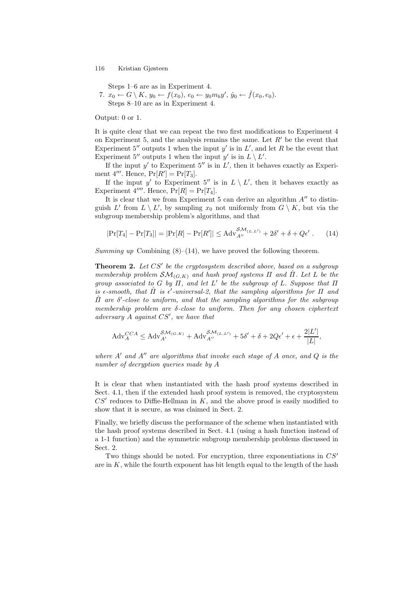Steps 1–6 are as in Experiment 4.

7.  $x_0 \leftarrow G \setminus K$ ,  $y_0 \leftarrow f(x_0)$ ,  $e_0 \leftarrow y_0 m_b y'$ ,  $\hat{y}_0 \leftarrow \hat{f}(x_0, e_0)$ . Steps 8–10 are as in Experiment 4.

Output: 0 or 1.

It is quite clear that we can repeat the two first modifications to Experiment 4 on Experiment 5, and the analysis remains the same. Let  $R'$  be the event that Experiment 5" outputs 1 when the input y' is in  $L'$ , and let R be the event that Experiment 5'' outputs 1 when the input y' is in  $L \setminus L'$ .

If the input  $y'$  to Experiment 5" is in  $L'$ , then it behaves exactly as Experiment 4'''. Hence,  $Pr[R'] = Pr[T_3]$ .

If the input y' to Experiment 5" is in  $L \setminus L'$ , then it behaves exactly as Experiment 4"". Hence,  $Pr[R] = Pr[T_4]$ .

It is clear that we from Experiment 5 can derive an algorithm  $A''$  to distinguish L' from  $L \setminus L'$ , by sampling  $x_0$  not uniformly from  $G \setminus K$ , but via the subgroup membership problem's algorithms, and that

$$
|\Pr[T_4] - \Pr[T_3]| = |\Pr[R] - \Pr[R']| \leq \text{Adv}_{A''}^{\mathcal{SM}_{(L,L')}} + 2\delta' + \delta + Q\epsilon'
$$
 (14)

Summing up Combining  $(8)$ – $(14)$ , we have proved the following theorem.

**Theorem 2.** Let  $CS'$  be the cryptosystem described above, based on a subgroup membership problem  $\mathcal{SM}_{(G,K)}$  and hash proof systems  $\Pi$  and  $\Pi$ . Let L be the group associated to G by  $\Pi$ , and let L' be the subgroup of L. Suppose that  $\Pi$ is  $\epsilon$ -smooth, that  $\hat{\Pi}$  is  $\epsilon'$ -universal-2, that the sampling algorithms for  $\Pi$  and  $\hat{\Pi}$  are  $\delta'$ -close to uniform, and that the sampling algorithms for the subgroup membership problem are  $\delta$ -close to uniform. Then for any chosen ciphertext adversary  $A$  against  $CS'$ , we have that

$$
\text{Adv}_{A}^{CCA} \leq \text{Adv}_{A'}^{\mathcal{SM}_{(G,K)}} + \text{Adv}_{A''}^{\mathcal{SM}_{(L,L')}} + 5\delta' + \delta + 2Q\epsilon' + \epsilon + \frac{2|L'|}{|L|},
$$

where  $A'$  and  $A''$  are algorithms that invoke each stage of  $A$  once, and  $Q$  is the number of decryption queries made by A

It is clear that when instantiated with the hash proof systems described in Sect. 4.1, then if the extended hash proof system is removed, the cryptosystem  $CS'$  reduces to Diffie-Hellman in  $K$ , and the above proof is easily modified to show that it is secure, as was claimed in Sect. 2.

Finally, we briefly discuss the performance of the scheme when instantiated with the hash proof systems described in Sect. 4.1 (using a hash function instead of a 1-1 function) and the symmetric subgroup membership problems discussed in Sect. 2.

Two things should be noted. For encryption, three exponentiations in  $CS'$ are in  $K$ , while the fourth exponent has bit length equal to the length of the hash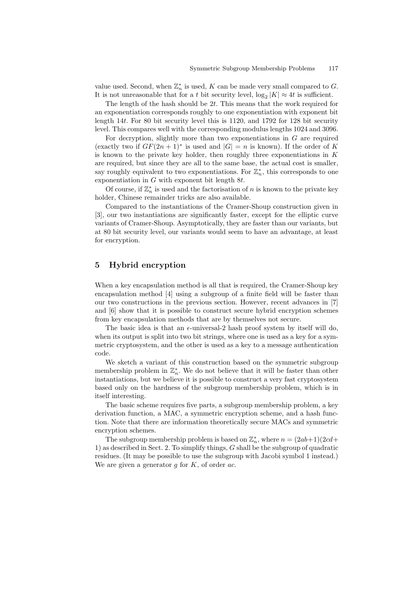value used. Second, when  $\mathbb{Z}_n^*$  is used, K can be made very small compared to G. It is not unreasonable that for a t bit security level,  $\log_2|K| \approx 4t$  is sufficient.

The length of the hash should be 2t. This means that the work required for an exponentiation corresponds roughly to one exponentiation with exponent bit length 14t. For 80 bit security level this is 1120, and 1792 for 128 bit security level. This compares well with the corresponding modulus lengths 1024 and 3096.

For decryption, slightly more than two exponentiations in  $G$  are required (exactly two if  $GF(2n + 1)^*$  is used and  $|G| = n$  is known). If the order of K is known to the private key holder, then roughly three exponentiations in  $K$ are required, but since they are all to the same base, the actual cost is smaller, say roughly equivalent to two exponentiations. For  $\mathbb{Z}_n^*$ , this corresponds to one exponentiation in  $G$  with exponent bit length  $8t$ .

Of course, if  $\mathbb{Z}_n^*$  is used and the factorisation of  $n$  is known to the private key holder, Chinese remainder tricks are also available.

Compared to the instantiations of the Cramer-Shoup construction given in [3], our two instantiations are significantly faster, except for the elliptic curve variants of Cramer-Shoup. Asymptotically, they are faster than our variants, but at 80 bit security level, our variants would seem to have an advantage, at least for encryption.

# 5 Hybrid encryption

When a key encapsulation method is all that is required, the Cramer-Shoup key encapsulation method [4] using a subgroup of a finite field will be faster than our two constructions in the previous section. However, recent advances in [7] and [6] show that it is possible to construct secure hybrid encryption schemes from key encapsulation methods that are by themselves not secure.

The basic idea is that an  $\epsilon$ -universal-2 hash proof system by itself will do, when its output is split into two bit strings, where one is used as a key for a symmetric cryptosystem, and the other is used as a key to a message authentication code.

We sketch a variant of this construction based on the symmetric subgroup membership problem in  $\mathbb{Z}_n^*$ . We do not believe that it will be faster than other instantiations, but we believe it is possible to construct a very fast cryptosystem based only on the hardness of the subgroup membership problem, which is in itself interesting.

The basic scheme requires five parts, a subgroup membership problem, a key derivation function, a MAC, a symmetric encryption scheme, and a hash function. Note that there are information theoretically secure MACs and symmetric encryption schemes.

The subgroup membership problem is based on  $\mathbb{Z}_n^*$ , where  $n = (2ab+1)(2cd+$ 1) as described in Sect. 2. To simplify things,  $G$  shall be the subgroup of quadratic residues. (It may be possible to use the subgroup with Jacobi symbol 1 instead.) We are given a generator  $g$  for  $K$ , of order  $ac$ .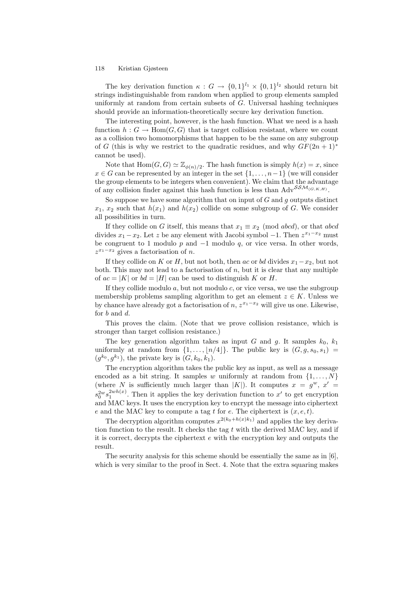The key derivation function  $\kappa: G \to \{0,1\}^{l_1} \times \{0,1\}^{l_2}$  should return bit strings indistinguishable from random when applied to group elements sampled uniformly at random from certain subsets of  $G$ . Universal hashing techniques should provide an information-theoretically secure key derivation function.

The interesting point, however, is the hash function. What we need is a hash function  $h: G \to \text{Hom}(G, G)$  that is target collision resistant, where we count as a collision two homomorphisms that happen to be the same on any subgroup of G (this is why we restrict to the quadratic residues, and why  $GF(2n + 1)$ <sup>\*</sup> cannot be used).

Note that  $\text{Hom}(G, G) \simeq \mathbb{Z}_{\phi(n)/2}$ . The hash function is simply  $h(x) = x$ , since  $x \in G$  can be represented by an integer in the set  $\{1, \ldots, n-1\}$  (we will consider the group elements to be integers when convenient). We claim that the advantage of any collision finder against this hash function is less than  $\text{Adv}^{\mathcal{SSM}_{(G,K,H)}}$ .

So suppose we have some algorithm that on input of  $G$  and  $g$  outputs distinct  $x_1, x_2$  such that  $h(x_1)$  and  $h(x_2)$  collide on some subgroup of G. We consider all possibilities in turn.

If they collide on G itself, this means that  $x_1 \equiv x_2 \pmod{abcd}$ , or that abcd divides  $x_1 - x_2$ . Let z be any element with Jacobi symbol -1. Then  $z^{x_1-x_2}$  must be congruent to 1 modulo  $p$  and  $-1$  modulo  $q$ , or vice versa. In other words,  $z^{x_1-x_2}$  gives a factorisation of n.

If they collide on K or H, but not both, then ac or bd divides  $x_1-x_2$ , but not both. This may not lead to a factorisation of  $n$ , but it is clear that any multiple of  $ac = |K|$  or  $bd = |H|$  can be used to distinguish K or H.

If they collide modulo  $a$ , but not modulo  $c$ , or vice versa, we use the subgroup membership problems sampling algorithm to get an element  $z \in K$ . Unless we by chance have already got a factorisation of  $n, z^{x_1-x_2}$  will give us one. Likewise, for b and d.

This proves the claim. (Note that we prove collision resistance, which is stronger than target collision resistance.)

The key generation algorithm takes as input G and g. It samples  $k_0$ ,  $k_1$ uniformly at random from  $\{1, \ldots, \lfloor n/4 \rfloor\}$ . The public key is  $(G, g, s_0, s_1)$  =  $(g^{k_0}, g^{k_1})$ , the private key is  $(G, k_0, k_1)$ .

The encryption algorithm takes the public key as input, as well as a message encoded as a bit string. It samples w uniformly at random from  $\{1, \ldots, N\}$ (where N is sufficiently much larger than |K|). It computes  $x = g^w$ ,  $x' =$  $s_0^{2w} s_1^{2wh(x)}$ . Then it applies the key derivation function to x' to get encryption and MAC keys. It uses the encryption key to encrypt the message into ciphertext e and the MAC key to compute a tag t for e. The ciphertext is  $(x, e, t)$ .

The decryption algorithm computes  $x^{2(k_0+h(x)k_1)}$  and applies the key derivation function to the result. It checks the tag  $t$  with the derived MAC key, and if it is correct, decrypts the ciphertext e with the encryption key and outputs the result.

The security analysis for this scheme should be essentially the same as in [6], which is very similar to the proof in Sect. 4. Note that the extra squaring makes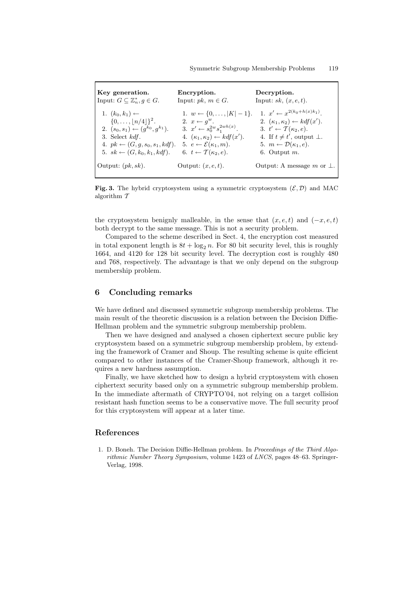| Key generation.                                | Encryption.                                    | Decryption.                                    |
|------------------------------------------------|------------------------------------------------|------------------------------------------------|
| Input: $G \subseteq \mathbb{Z}_n^*, q \in G$ . | Input: $pk, m \in G$ .                         | Input: $sk, (x, e, t)$ .                       |
| 1. $(k_0, k_1) \leftarrow$                     | 1. $w \leftarrow \{0, \ldots,  K  - 1\}.$      | 1. $x' \leftarrow x^{2(k_0+h(x)k_1)}$ .        |
| $\{0,\ldots, n/4 \}^2$ .                       | 2. $x \leftarrow q^w$ .                        | 2. $(\kappa_1, \kappa_2) \leftarrow kdf(x')$ . |
| 2. $(s_0, s_1) \leftarrow (g^{k_0}, g^{k_1}).$ | 3. $x' \leftarrow s_0^{2w} s_1^{2wh(x)}$ .     | 3. $t' \leftarrow \mathcal{T}(\kappa_2, e)$ .  |
| 3. Select $kdf$ .                              | 4. $(\kappa_1, \kappa_2) \leftarrow kdf(x')$ . | 4. If $t \neq t'$ , output $\perp$ .           |
| 4. $pk \leftarrow (G, q, s_0, s_1, kdf)$ .     | 5. $e \leftarrow \mathcal{E}(\kappa_1, m)$ .   | 5. $m \leftarrow \mathcal{D}(\kappa_1, e)$ .   |
| 5. $sk \leftarrow (G, k_0, k_1, kdf)$ .        | 6. $t \leftarrow \mathcal{T}(\kappa_2, e)$ .   | 6. Output $m$ .                                |
| Output: $(pk, sk)$ .                           | Output: $(x, e, t)$ .                          | Output: A message m or $\perp$ .               |

Fig. 3. The hybrid cryptosystem using a symmetric cryptosystem  $(\mathcal{E}, \mathcal{D})$  and MAC algorithm T

the cryptosystem benignly malleable, in the sense that  $(x, e, t)$  and  $(-x, e, t)$ both decrypt to the same message. This is not a security problem.

Compared to the scheme described in Sect. 4, the encryption cost measured in total exponent length is  $8t + \log_2 n$ . For 80 bit security level, this is roughly 1664, and 4120 for 128 bit security level. The decryption cost is roughly 480 and 768, respectively. The advantage is that we only depend on the subgroup membership problem.

# 6 Concluding remarks

We have defined and discussed symmetric subgroup membership problems. The main result of the theoretic discussion is a relation between the Decision Diffie-Hellman problem and the symmetric subgroup membership problem.

Then we have designed and analysed a chosen ciphertext secure public key cryptosystem based on a symmetric subgroup membership problem, by extending the framework of Cramer and Shoup. The resulting scheme is quite efficient compared to other instances of the Cramer-Shoup framework, although it requires a new hardness assumption.

Finally, we have sketched how to design a hybrid cryptosystem with chosen ciphertext security based only on a symmetric subgroup membership problem. In the immediate aftermath of CRYPTO'04, not relying on a target collision resistant hash function seems to be a conservative move. The full security proof for this cryptosystem will appear at a later time.

### References

1. D. Boneh. The Decision Diffie-Hellman problem. In Proceedings of the Third Algorithmic Number Theory Symposium, volume 1423 of LNCS, pages 48–63. Springer-Verlag, 1998.